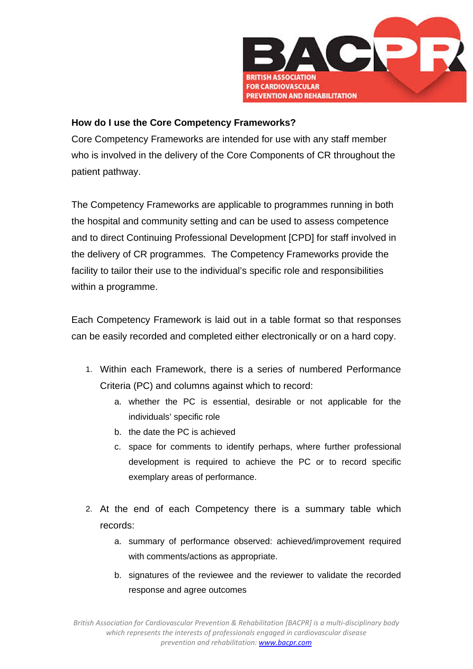

## **How do I use the Core Competency Frameworks?**

Core Competency Frameworks are intended for use with any staff member who is involved in the delivery of the Core Components of CR throughout the patient pathway.

The Competency Frameworks are applicable to programmes running in both the hospital and community setting and can be used to assess competence and to direct Continuing Professional Development [CPD] for staff involved in the delivery of CR programmes. The Competency Frameworks provide the facility to tailor their use to the individual's specific role and responsibilities within a programme.

Each Competency Framework is laid out in a table format so that responses can be easily recorded and completed either electronically or on a hard copy.

- 1. Within each Framework, there is a series of numbered Performance Criteria (PC) and columns against which to record:
	- a. whether the PC is essential, desirable or not applicable for the individuals' specific role
	- b. the date the PC is achieved
	- c. space for comments to identify perhaps, where further professional development is required to achieve the PC or to record specific exemplary areas of performance.
- 2. At the end of each Competency there is a summary table which records:
	- a. summary of performance observed: achieved/improvement required with comments/actions as appropriate.
	- b. signatures of the reviewee and the reviewer to validate the recorded response and agree outcomes

*British Association for Cardiovascular Prevention & Rehabilitation [BACPR] is a multi‐disciplinary body which represents the interests of professionals engaged in cardiovascular disease prevention and rehabilitation: www.bacpr.com*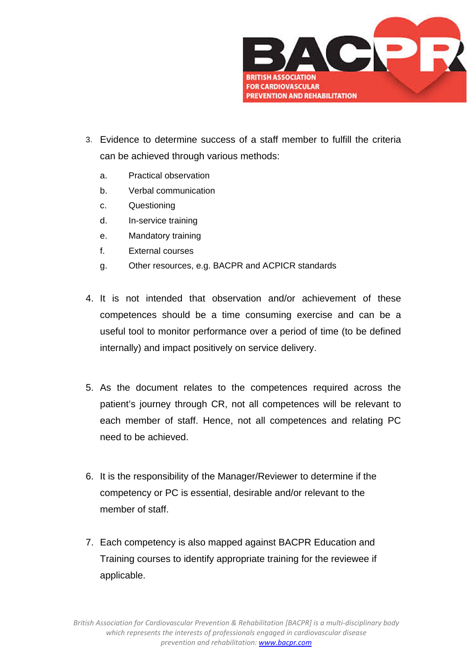

- 3. Evidence to determine success of a staff member to fulfill the criteria can be achieved through various methods:
	- a. Practical observation
	- b. Verbal communication
	- c. Questioning
	- d. In-service training
	- e. Mandatory training
	- f. External courses
	- g. Other resources, e.g. BACPR and ACPICR standards
- 4. It is not intended that observation and/or achievement of these competences should be a time consuming exercise and can be a useful tool to monitor performance over a period of time (to be defined internally) and impact positively on service delivery.
- 5. As the document relates to the competences required across the patient's journey through CR, not all competences will be relevant to each member of staff. Hence, not all competences and relating PC need to be achieved.
- 6. It is the responsibility of the Manager/Reviewer to determine if the competency or PC is essential, desirable and/or relevant to the member of staff.
- 7. Each competency is also mapped against BACPR Education and Training courses to identify appropriate training for the reviewee if applicable.